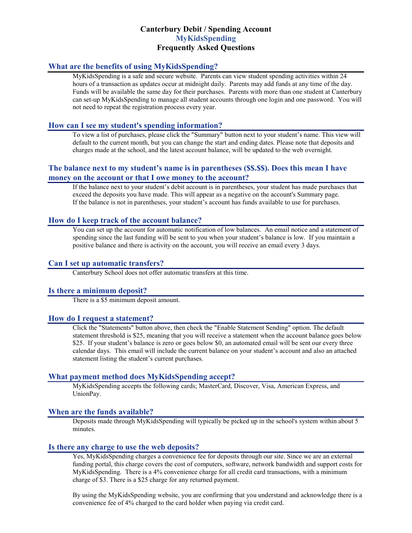# **Canterbury Debit / Spending Account MyKidsSpending Frequently Asked Questions**

## **What are the benefits of using MyKidsSpending?**

MyKidsSpending is a safe and secure website. Parents can view student spending activities within 24 hours of a transaction as updates occur at midnight daily. Parents may add funds at any time of the day. Funds will be available the same day for their purchases. Parents with more than one student at Canterbury can set-up MyKidsSpending to manage all student accounts through one login and one password. You will not need to repeat the registration process every year.

#### **How can I see my student's spending information?**

To view a list of purchases, please click the "Summary" button next to your student's name. This view will default to the current month, but you can change the start and ending dates. Please note that deposits and charges made at the school, and the latest account balance, will be updated to the web overnight.

## **The balance next to my student's name is in parentheses (\$\$.\$\$). Does this mean I have money on the account or that I owe money to the account?**

If the balance next to your student's debit account is in parentheses, your student has made purchases that exceed the deposits you have made. This will appear as a negative on the account's Summary page. If the balance is not in parentheses, your student's account has funds available to use for purchases.

#### **How do I keep track of the account balance?**

You can set up the account for automatic notification of low balances. An email notice and a statement of spending since the last funding will be sent to you when your student's balance is low. If you maintain a positive balance and there is activity on the account, you will receive an email every 3 days.

### **Can I set up automatic transfers?**

Canterbury School does not offer automatic transfers at this time.

#### **Is there a minimum deposit?**

There is a \$5 minimum deposit amount.

## **How do I request a statement?**

Click the "Statements" button above, then check the "Enable Statement Sending" option. The default statement threshold is \$25, meaning that you will receive a statement when the account balance goes below \$25. If your student's balance is zero or goes below \$0, an automated email will be sent our every three calendar days. This email will include the current balance on your student's account and also an attached statement listing the student's current purchases.

### **What payment method does MyKidsSpending accept?**

MyKidsSpending accepts the following cards; MasterCard, Discover, Visa, American Express, and UnionPay.

#### **When are the funds available?**

Deposits made through MyKidsSpending will typically be picked up in the school's system within about 5 minutes.

### **Is there any charge to use the web deposits?**

Yes, MyKidsSpending charges a convenience fee for deposits through our site. Since we are an external funding portal, this charge covers the cost of computers, software, network bandwidth and support costs for MyKidsSpending. There is a 4% convenience charge for all credit card transactions, with a minimum charge of \$3. There is a \$25 charge for any returned payment.

By using the MyKidsSpending website, you are confirming that you understand and acknowledge there is a convenience fee of 4% charged to the card holder when paying via credit card.